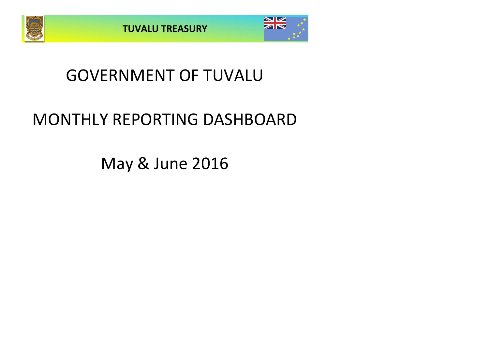



## GOVERNMENT OF TUVALU

# MONTHLY REPORTING DASHBOARD

May & June 2016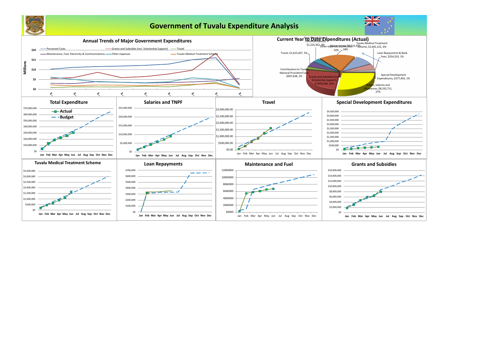

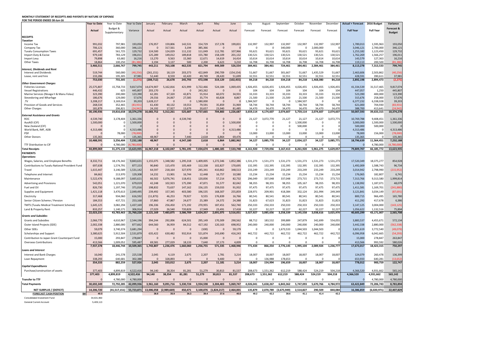### **MONTHLY STATEMENT OF RECEIPTS AND PAYENTS BY NATURE OF EXPENSE FOR THE PERIOD ENDED 30-Jun-16**

|                                                        | <b>Year to Date</b>  | Year to Date         | Year to Date          | January                              | February                                          | March                    | April                         | May              | June             | July                | August              | September             | October             | November            | December          | <b>Actual + Forecast</b> | 2016 Budget          | Variance             |
|--------------------------------------------------------|----------------------|----------------------|-----------------------|--------------------------------------|---------------------------------------------------|--------------------------|-------------------------------|------------------|------------------|---------------------|---------------------|-----------------------|---------------------|---------------------|-------------------|--------------------------|----------------------|----------------------|
|                                                        | Actual               | Budget &             | Variance              | Actual                               | Actual                                            | Actual                   | Actual                        | Actual           | Actual           | Forecast            | Forecast            | Forecast              | Forecast            | Forecast            | Forecast          | <b>Full Year</b>         | <b>Full Year</b>     | Forecast &           |
|                                                        |                      | Supplementary        |                       |                                      |                                                   |                          |                               |                  |                  |                     |                     |                       |                     |                     |                   |                          |                      | <b>Budget</b>        |
| <b>RECEIPTS</b>                                        |                      |                      |                       |                                      |                                                   |                          |                               |                  |                  |                     |                     |                       |                     |                     |                   |                          |                      |                      |
| <b>Taxation</b><br>Income Tax                          | 991,032              | 797,981              | 193,050               | 176,957                              | 159,806                                           | 142,531                  | 154,729                       | 157,178          | 199,831          | 132,997             | 132,997             | 132,997               | 132,997             | 132,997             | 132,997           | 1,789,013                | 1,595,963            | 193,050              |
| Company Tax                                            | 706,121              | 360,000              | 346,121               |                                      | 317,561                                           | 3,194                    | 385,366                       | - 0              |                  | $\Omega$            | - 0                 | 340,000               |                     | 2,000,000           |                   | 3,046,121                | 2,700,000            | 346,121              |
| <b>Tuvalu Consumption Taxes</b>                        | 691,457              | 561,725              | 129,732               | 124,500                              | 124,029                                           | 111,132                  | 111,049                       | 112,781          | 107,966          | 93,621              | 93,621              | 93,621                | 93,621              | 93,621              | 93,621            | 1,253,182                | 1,123,450            | 129,732              |
| Import Duty & Excise                                   | 979,140              | 783,129              | 196,011               | 125,289                              | 149,012                                           | 189,818                  | 155,780                       | 158,109          | 201,132          | 130,521             | 130,521             | 130,521               | 130,521             | 130,521             | 130,521           | 1,762,269                | 1,566,257            | 196,011              |
| Import Levy                                            | 79,898               | 63,682               | 16,216                | 13,270                               | 9,563                                             | 15,360                   | 12,671                        | 14,619           | 14,414           | 10,614              | 10,614              | 10,614                | 10,614              | 10,614              | 10,614            | 143,579                  | 127,363              | 16,216               |
| <b>Other Taxes</b>                                     | 18,864<br>3,466,511  | 100,250<br>2,666,767 | (81, 386)<br>799,745  | 3,194<br>443,211                     | 3,137<br>763,108                                  | 500<br>462,535           | 2,200<br>821,794              | 6,623<br>449,309 | 3,210<br>526,554 | 16,708<br>384,461   | 16,708<br>384,461   | 16,708<br>724,461     | 16,708<br>384,461   | 16,708<br>2,384,461 | 16,708<br>384,461 | 119,113<br>8,113,278     | 200,500<br>7,313,533 | (81, 386)<br>799,745 |
| Interest, Dividends and Rent                           |                      |                      |                       |                                      |                                                   |                          |                               |                  |                  |                     |                     |                       |                     |                     |                   |                          |                      |                      |
| <b>Interest and Dividends</b>                          | 519,744              | 560,000              | (40, 256)             | (261, 151)                           | 18,119                                            | 203,373                  | 422,849                       | 290,709          | (154, 154)       | 51,667              | 51,667              | 301,667               | 51,667              | 1,435,529           | 51,667            | 2,463,606                | 2,503,862            | (40, 256)            |
| Lease, rent and hire                                   | 233,286              | 195,305              | 37,981                | 52,440                               | 8,559                                             | 42,420                   | 49,749                        | 28,420           | 51,699           | 32,551              | 32,551              | 32,551                | 32,551              | 32,551              | 32,551            | 428,591                  | 390,611              | 37,981               |
| <b>Other Government Charges</b>                        | 753,030              | 755,305              | (2, 275)              | (208, 712)                           | 26,678                                            | 245,793                  | 472,598                       | 319,129          | (102, 455)       | 84,218              | 84,218              | 334,218               | 84,218              | 1,468,080           | 84,218            | 2,892,198                | 2,894,473            | (2, 275)             |
| <b>Fisheries Licenses</b>                              | 25,575,807           | 15,758,733           | 9,817,074             | 14,674,907                           | 5,162,816                                         | 421,999                  | 3,722,466                     | 524,184          | 1,069,435        | 1,926,455           | 4,026,455           | 1,926,455             | 4,026,455           | 1,926,455           | 1,926,455         | 41,334,539               | 31,517,465           | 9,817,074            |
| <b>Vessel Registrations</b>                            | 446,432              | 625                  | 445,807               | 203,170                              |                                                   |                          | 243,262                       | - 0              |                  | 104                 | 104                 | 104                   | 104                 | 104                 | 104               | 447,057                  | 1,250                | 445,807              |
| Marine Services (Nivaga II & Manu Folau)               | 323,390              | 200,000              | 123,390               | 62,281                               | 67,320                                            | 42,871                   | 55,914                        | 60,072           | 34,931           | 33,333              | 33,333              | 33,333                | 33,333              | 33,333              | 33,333            | 523,390                  | 400,000              | 123,390              |
| Stevedoring and Wharfage<br>.TV                        | 186,676<br>3,208,217 | 129,000<br>3,169,014 | 57,676<br>39,203      | 29,556<br>1,628,217                  | 24,067                                            | 27,585<br>$\overline{0}$ | 35,774<br>1,580,000           | 60,828<br>- 0    | 8,867            | 21,500<br>L,584,507 | 21,500<br>-0        | 21,500                | 21,500<br>1,584,507 | 21,500<br>- 0       | 21,500            | 315,676<br>6,377,232     | 258,000<br>6,338,028 | 57,676<br>39,203     |
| Provision of Goods and Services                        | 268,534              | 352,465              | (83, 931)             | 61,430                               | 40,132                                            | 19,553                   | 79,591                        | 35,859           | 31,969           | 58,744              | 58,744              | 58,744                | 58,744              | 58,744              | 58,744            | 621,000                  | 704,930              | (83, 931)            |
| <b>Other Charges</b>                                   | 181,879              | 206,821              | (24, 942)             | 24,192                               | 17,927                                            | 13,679                   | 20,657                        | 23,940           | 81,485           | 34,470              | 34,470              | 34,470                | 34,470              | 34,470              | 34,470            | 388,700                  | 413,641              | (24, 942)            |
|                                                        | 30,190,936           | 19,816,658           | 10,374,278            | 16,683,752                           | 5,312,261                                         | 525,687                  | 5,737,665                     | 704,883          | 1,226,687        | 3,659,114           | 4,174,607           | 2,074,607             | 5,759,114           | 2,074,607           | 2,074,607         | 50,007,593               | 39,633,315           | 10,374,278           |
| <b>External Assistance and Grants</b><br>ROC           | 4,539,740            | 3,178,404            | 1,361,336             | $\mathbf 0$                          |                                                   | ,539,740                 |                               |                  |                  | 21,127              | 3,072,770           | 21,127                | 21,127              | 21,127              | 3,072,771         | 10,769,788               | 9,408,451            | 1,361,336            |
| AusAID (CIF)                                           | 1,500,000            |                      | 1,500,000             |                                      |                                                   |                          |                               |                  | 1,500,000        |                     |                     |                       | 1,500,000           |                     |                   | 3,000,000                | 1,500,000            | 1,500,000            |
| New Zealand (CIF)                                      |                      |                      |                       |                                      |                                                   |                          |                               |                  |                  |                     |                     |                       | 500,000             |                     |                   | 500,000                  | 500,000              |                      |
| World Bank, IMF, ADB                                   | 4,313,486            |                      | 4,313,486             |                                      |                                                   |                          |                               |                  | 4,313,486        |                     |                     | $\Omega$              |                     |                     |                   | 4,313,486                |                      | 4,313,486            |
| <b>PDF</b><br><b>Other Donors</b>                      | 135,365              | 78,000               | (78,000)<br>135,365   | 48,967                               |                                                   | 7,440                    | 2,618                         | 6,864            | 69,476           | 13,000<br>$\Omega$  | 13,000              | 13,000                | 13,000              | 13,000              | 13,000            | 78,000<br>135,365        | 156,000              | (78,000)<br>135,365  |
|                                                        | 10,488,591           | 3,256,404            | 7,232,188             | 48,967                               |                                                   | 4,547,180                | 2,618                         | 6,864            | 5,882,962        | 34,127              | 3,085,770           | 34,127                | 2,034,127           | 34,127              | 3,085,771         | 18,796,639               | 11,564,451           | 7,232,188            |
| TTF Distribution to CIF                                |                      | 4,780,000            | (4,780,000)           | $\Omega$                             |                                                   |                          |                               |                  |                  | $\Omega$            | $\Omega$            |                       |                     | $\cap$              |                   |                          | 4,780,000            | (4,780,000)          |
| <b>Total Receipts</b>                                  | 44,899,069           | 31,275,133           | 13,623,935            | 16,967,218                           | 6,102,047                                         | 5,781,195                | 7,034,674                     | 1,480,185        | 7,533,748        | 4,161,920           | 7,729,056           | 3,167,413             | 8,261,920           | 5,961,275           | 5,629,057         | 79,809,707               | 66,185,772           | 13,623,935           |
| <b>PAYMENTS</b>                                        |                      |                      |                       |                                      |                                                   |                          |                               |                  |                  |                     |                     |                       |                     |                     |                   |                          |                      |                      |
| <i><u><b>Operations</b></u></i>                        |                      |                      |                       |                                      |                                                   |                          |                               |                  |                  |                     |                     |                       |                     |                     |                   |                          |                      |                      |
| Wages, Salaries, and Employee Benefits                 | 8,332,711            | 18,176,342           | 9,843,631             | 1,155,075                            | 1,348,582                                         | 1,295,318                | 1,409,005                     | 1,272,346        | 1,852,386        | 1,531,273           | 1,531,273           | 1,531,273             | 1,531,273           | 1,531,273           | 1,531,273         | 17,520,349               | 18,375,277           | 854,928              |
| <b>Contributions to Tuvalu National Provident Fund</b> | 697,638              | 1,574,791            | 877,153               | 90,840                               | 115,470                                           | 105,469                  | 112,338                       | 102,827          | 170,695          | 132,395             | 132,395             | 132,395               | 132,395             | 132,395             | 132,395           | 1,492,009                | 1,588,743            | 96,734               |
| Travel                                                 | 1,615,447            | 3,146,589            | 1,531,142             | 64,597                               | 218,164                                           | 327,970                  | 245,341                       | 410,862          | 348,513          | 233,249             | 233,249             | 233,249               | 233,249             | 233,249             | 233,249           | 3,014,942                | 2,798,990            | (215,952)            |
| Telephone and Internet                                 | 84,662               | 213,970              | 129,308               | 14,232                               | 13,901                                            | 16,744                   | 12,448                        | 16,757           | 10,580           | 15,234              | 15,234              | 15,234                | 15,234              | 15,234              | 15,234            | 176,065                  | 182,807              | 6,741                |
| Maintenance                                            | 5,522,476            | 9,188,097            | 3,665,621             | 66,502                               | 5,076,741                                         | 118,451                  | 120,836                       | 57,214           | 82,732           | 296,049             | 337,048             | 337,048               | 273,715             | 273,715             | 273,715           | 7,313,766                | 9,313,580            | 1,999,814            |
| Advertising and Provisions                             | 542,051              | 1,221,070            | 679,019               | 42,248                               | 102,923                                           | 175,390                  | 47,871                        | 91,577           | 82,042           | 98,355              | 98,355              | 98,355                | 105,167             | 98,355              | 98,355            | 1,138,992                | 1,187,071            | 48,079               |
| Fuel and Oil                                           | 826,730              | 1,197,746            | 371,016               | 198,832                              | 73,637                                            | 147,162                  | 156,135                       | 159,033          | 91,932           | 97,475              | 97,475              | 97,475                | 97,475              | 97,475              | 97,475            | 1,411,581                | 1,169,701            | (241,880)            |
| Supplies and Equipment                                 | 1,421,118            | 3,470,613            | 2,049,495             | 239,492                              | 157,345                                           | 403,580                  | 196,535                       | 168,307          | 255,859          | 228,971             | 209,901             | 418,384               | 332,124             | 261,994             | 249,349           | 3,121,841                | 3,034,149            | (87, 691)            |
| Electricity                                            | 317,468              | 934,060              | 616,592               | (11, 873)                            | 46,253                                            | 79,927                   | 9,555                         | 176,839          | 16,766           | 80,541              | 80,541              | 80,541                | 80,541              | 80,541              | 80,541            | 800,715                  | 966,495              | 165,780              |
| Senior Citizen Scheme / Pension                        | 184,553              | 437,721              | 253,168               | 37,860                               | 47,867                                            | 24,677                   | 25,389                        | 24,372           | 24,388           | 31,823              | 67,623              | 31,823                | 31,823              | 31,823              | 31,823            | 411,292                  | 417,678              | 6,386                |
| <b>TMTS (Tuvalu Medical Treatment Scheme)</b>          | 1,645,125            | 3,082,294            | 1,437,169             | 196,336                              | 256,450                                           | 171,192                  | 270,955                       | 187,451          | 562,740          | 250,333             | 250,333             | 250,333               | 250,333             | 250,333             | 250,333           | 3,147,125                | 3,004,000            | (143, 125)           |
| Land & Property Rent                                   | 833,257              | 1,140,171            | 306,914               | 27,029                               | 26,540                                            | 720,829                  | 17,949                        | 23,491           | 17,418           | 32,227              | 32,227<br>3,085,656 | 32,227                | 62,227              | 32,227              | 32,227            | 1,056,622                | 1,132,516            | 75,894               |
| <b>Grants and Subsidies</b>                            | 22,023,235           | 43,783,463           | 21,760,228            | 2,121,169                            | 7,483,875                                         | 3,586,709                | 2,624,357                     | 2,691,075        | 3,516,051        | 3,027,927           |                     | 3,258,339             | 3,145,558           | 3,038,616           | 3,025,970         | 40,605,299               | 43,171,007           | 2,565,708            |
| <b>Grants and Subsidies</b>                            | 2,066,770            | 4,610,967            | 2,544,196             | 394,244                              | 292,006                                           | 624,501                  | 295,149                       | 170,309          | 290,562          | 88,712              | 183,532             | 399,889               | 247,879             | 342,699             | 554,055           | 3,883,537                | 4,455,671            | 572,134              |
| Outer Island Projects (SDE)                            | 2,002,338            | 2,880,000            | 877,662               | 644,560                              | 36,959                                            | 84,512                   | 417,192                       | 120,163          | 698,952          | 240,000             | 240,000             | 240,000               | 240,000             | 240,000             | 240,000           | 3,442,338                | 2,880,000            | (562, 338)           |
| Other SDEs                                             | 59,079               | 3,740,374            | 3,681,294             | -0                                   |                                                   |                          | (100)                         |                  | 59,179           | - 0                 |                     | 1,673,533             | 1,044,503           | 1,044,503           |                   | 3,821,619                | 3,772,540            | (49,079)             |
| Scholarships and Support                               | 3,380,625            | 5,912,504            | 2,531,879             | 635,422                              | 630,482                                           | 932,914                  | 521,874                       | 243,690          | 416,243          | 442,722             | 442,722             | 462,722               | 462,722             | 462,722             | 442,722           | 6,096,958                | 6,042,665            | (54, 293)            |
| Contribution to Japan Grant Counterpart Fund           | 15,000               | 293,847              | 278,847               | -0                                   |                                                   |                          | 15,000                        | - 0              |                  | - 0                 |                     |                       |                     |                     |                   | 15,000                   | 278,847              | 263,847              |
| <b>Overseas Contributions</b>                          | 413,566              | 1,009,052            | 595,487               | 69,581                               | 277,029                                           | 18,133                   | 7,640                         | 37,173           | 4,009            | $\Omega$            |                     |                       |                     |                     |                   | 413,566                  | 993,592              | 580,026              |
|                                                        | 7,937,378            | 18,446,744           | 10,509,365            | 1,743,807                            | 1,236,476                                         | 1,660,060                | 1,256,755                     | 571,335          | 1,468,946        | 771,434             | 866,254             | 2,776,145             | 1,995,104           | 2,089,924           | 1,236,777         | 17,673,017               | 18,423,315           | 750,297              |
| Loans and Interest                                     |                      |                      |                       |                                      |                                                   |                          |                               |                  |                  |                     |                     |                       |                     |                     |                   |                          |                      |                      |
| Interest and Bank Charges                              | 16,040               | 241,578              | 225,538               | 2,045                                | 4,119                                             | 2,675                    | 2,207                         | 1,781            | 3,214            | 18,007              | 18,007              | 18,007                | 18,007              | 18,007              | 18,007            | 124,079                  | 260,478              | 136,399              |
| Loan Repayment                                         | 338,293              | 640,681              | 302,388               |                                      | 328,893                                           |                          |                               | 9,400            |                  |                     | 136,988             | 178,653               |                     |                     |                   | 653,933                  | 640,281              | (13, 652)            |
| <b>Capital Expenditures</b>                            | 354,333              | 882,259              | 527,926               | 2,045                                | 333,012                                           | 2,675                    | 2,207                         | 11,181           | 3,214            | 18,007              | 154,994             | 196,659               | 18,007              | 18,007              | 18,007            | 778,012                  | 900,759              | 122,747              |
| Purchase/construction of assets                        | 377,403              | 4,899,819            | 4,522,416             | 94.140                               | 38,354                                            | 81,281                   | 51,279                        | 30,813           | 81,537           | 208,673             | 1,551,362           | 612,219               | 588,424             | 524,219             | 504,218           | 4,366,520                | 4,931,662            | 565,142              |
|                                                        | 377,403              | 4,899,819            | 4,522,416             | 94,140                               | 38,354                                            | 81,281                   | 51,279                        | 30,813           | 81,537           | 208,673             | 1,551,362           | 612,219               | 588,424             | 524,219             | 504,218           | 4,366,520                | 4,931,662            | 565,142              |
|                                                        |                      |                      |                       |                                      |                                                   |                          |                               |                  |                  |                     |                     |                       |                     |                     |                   |                          |                      |                      |
| <b>Transfer to TTF</b>                                 |                      | 4,780,000            | 4,780,000             |                                      |                                                   |                          |                               |                  |                  | $\Omega$            |                     |                       |                     |                     |                   |                          | 4,780,000            | 4,780,000            |
| <b>Total Payments</b>                                  | 30,692,349           |                      | 72,792,285 42,099,936 | 3,961,160                            | 9,091,716 5,330,724 3,934,598 3,304,403 5,069,747 |                          |                               |                  |                  |                     | 4,026,041 5,658,267 | 6,843,362             | 5,747,093           | 5,670,766           | 4,784,972         | 63,422,849               | 72,206,743           | 8,783,894            |
| <b>NET SURPLUS / (DEFICIT)</b>                         | 14,206,720           |                      |                       | $(41,517,151)$ 55,723,871 13,006,058 | (2,989,669)                                       |                          | 450,471 3,100,076 (1,824,217) |                  | 2,464,001        | 135,879             |                     | 2,070,789 (3,675,949) | 2,514,827           | 290,509             | 844,084           | 16,386,859               | (6,020,971)          | 22,407,829           |
| <u>\$M</u><br><b>FORECAST CASH POSITION</b>            | 40.0                 |                      |                       | 38.8                                 | 35.9                                              | 36.3                     | 39.4                          | 37.6             | 40.0             | 40.2                | 42.2                | 38.6                  | 41.1                | 41.4                | 42.2              |                          |                      |                      |
| Consolidated Investment Fund                           | 34,631,960           |                      |                       |                                      |                                                   |                          |                               |                  |                  |                     |                     |                       |                     |                     |                   |                          |                      |                      |
| <b>General Current Account</b>                         | 5,409,113            |                      |                       |                                      |                                                   |                          |                               |                  |                  |                     |                     |                       |                     |                     |                   |                          |                      |                      |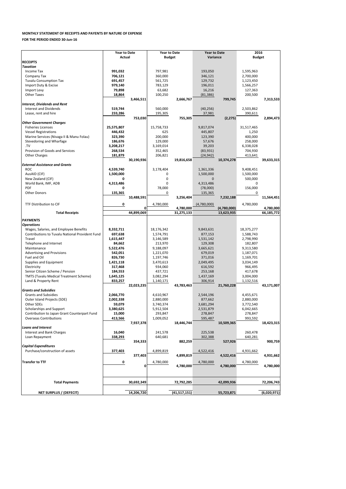|                                                 | <b>Year to Date</b> |            | <b>Year to Date</b> |              | <b>Year to Date</b> |             | 2016          |             |  |
|-------------------------------------------------|---------------------|------------|---------------------|--------------|---------------------|-------------|---------------|-------------|--|
|                                                 | <b>Actual</b>       |            | <b>Budget</b>       |              | Variance            |             | <b>Budget</b> |             |  |
| <b>RECEIPTS</b>                                 |                     |            |                     |              |                     |             |               |             |  |
| <b>Taxation</b>                                 |                     |            |                     |              |                     |             |               |             |  |
| Income Tax                                      | 991,032             |            | 797,981             |              | 193,050             |             | 1,595,963     |             |  |
| Company Tax                                     | 706,121             |            | 360,000             |              | 346,121             |             | 2,700,000     |             |  |
| <b>Tuvalu Consumption Tax</b>                   | 691,457             |            | 561,725             |              | 129,732             |             | 1,123,450     |             |  |
| Import Duty & Excise                            | 979,140             |            | 783,129             |              | 196,011             |             | 1,566,257     |             |  |
| Import Levy                                     | 79,898              |            | 63,682              |              | 16,216              |             | 127,363       |             |  |
| <b>Other Taxes</b>                              | 18,864              |            | 100,250             |              | (81, 386)           |             | 200,500       |             |  |
|                                                 |                     | 3,466,511  |                     | 2,666,767    |                     | 799,745     |               | 7,313,533   |  |
| <b>Interest, Dividends and Rent</b>             |                     |            |                     |              |                     |             |               |             |  |
| <b>Interest and Dividends</b>                   | 519,744             |            | 560,000             |              | (40, 256)           |             | 2,503,862     |             |  |
| Lease, rent and hire                            | 233,286             |            | 195,305             |              | 37,981              |             | 390,611       |             |  |
|                                                 |                     | 753,030    |                     | 755,305      |                     | (2, 275)    |               | 2,894,473   |  |
| <b>Other Government Charges</b>                 |                     |            |                     |              |                     |             |               |             |  |
| <b>Fisheries Licenses</b>                       | 25,575,807          |            | 15,758,733          |              | 9,817,074           |             | 31,517,465    |             |  |
| <b>Vessel Registrations</b>                     | 446,432             |            | 625                 |              | 445,807             |             | 1,250         |             |  |
| Marine Services (Nivaga II & Manu Folau)        | 323,390             |            | 200,000             |              | 123,390             |             | 400,000       |             |  |
| Stevedoring and Wharfage                        | 186,676             |            | 129,000             |              | 57,676              |             | 258,000       |             |  |
| TV                                              | 3,208,217           |            | 3,169,014           |              | 39,203              |             | 6,338,028     |             |  |
| Provision of Goods and Services                 | 268,534             |            | 352,465             |              | (83,931)            |             | 704,930       |             |  |
| <b>Other Charges</b>                            | 181,879             |            | 206,821             |              | (24, 942)           |             | 413,641       |             |  |
|                                                 |                     |            |                     |              |                     |             |               |             |  |
|                                                 |                     | 30,190,936 |                     | 19,816,658   |                     | 10,374,278  |               | 39,633,315  |  |
| <b>External Assistance and Grants</b>           |                     |            |                     |              |                     |             |               |             |  |
| <b>ROC</b>                                      | 4,539,740           |            | 3,178,404           |              | 1,361,336           |             | 9,408,451     |             |  |
| AusAID (CIF)                                    | 1,500,000           |            | 0                   |              | 1,500,000           |             | 1,500,000     |             |  |
| New Zealand (CIF)                               | 0                   |            |                     |              | $\mathbf{0}$        |             | 500,000       |             |  |
| World Bank, IMF, ADB                            | 4,313,486           |            | 0                   |              | 4,313,486           |             | 0             |             |  |
| PDF                                             | 0                   |            | 78,000              |              | (78,000)            |             | 156,000       |             |  |
| <b>Other Donors</b>                             | 135,365             |            | 0                   |              | 135,365             |             | 0             |             |  |
|                                                 |                     | 10,488,591 |                     | 3,256,404    |                     | 7,232,188   |               | 11,564,451  |  |
| TTF Distribution to CIF                         | 0                   |            | 4,780,000           |              | (4,780,000)         |             | 4,780,000     |             |  |
|                                                 |                     | 0          |                     | 4,780,000    |                     | (4,780,000) |               | 4,780,000   |  |
| <b>Total Receipts</b>                           |                     | 44,899,069 |                     | 31,275,133   |                     | 13,623,935  |               | 66,185,772  |  |
|                                                 |                     |            |                     |              |                     |             |               |             |  |
| <b>PAYMENTS</b>                                 |                     |            |                     |              |                     |             |               |             |  |
| <b>Operations</b>                               |                     |            |                     |              |                     |             |               |             |  |
| Wages, Salaries, and Employee Benefits          | 8,332,711           |            | 18,176,342          |              | 9,843,631           |             | 18,375,277    |             |  |
| Contributions to Tuvalu National Provident Fund | 697,638             |            | 1,574,791           |              | 877,153             |             | 1,588,743     |             |  |
| Travel                                          | 1,615,447           |            | 3,146,589           |              | 1,531,142           |             | 2,798,990     |             |  |
| Telephone and Internet                          | 84,662              |            | 213,970             |              | 129,308             |             | 182,807       |             |  |
| Maintenance                                     | 5,522,476           |            | 9,188,097           |              | 3,665,621           |             | 9,313,580     |             |  |
| <b>Advertising and Provisions</b>               | 542,051             |            | 1,221,070           |              | 679,019             |             | 1,187,071     |             |  |
| Fuel and Oil                                    | 826,730             |            | 1,197,746           |              | 371,016             |             | 1,169,701     |             |  |
| Supplies and Equipment                          | 1,421,118           |            | 3,470,613           |              | 2,049,495           |             | 3,034,149     |             |  |
| Electricity                                     | 317,468             |            | 934,060             |              | 616,592             |             | 966,495       |             |  |
| Senior Citizen Scheme / Pension                 |                     |            | 437,721             |              |                     |             |               |             |  |
|                                                 | 184,553             |            |                     |              | 253,168             |             | 417,678       |             |  |
| <b>TMTS (Tuvalu Medical Treatment Scheme)</b>   | 1,645,125           |            | 3,082,294           |              | 1,437,169           |             | 3,004,000     |             |  |
| Land & Property Rent                            | 833,257             |            | 1,140,171           |              | 306,914             |             | 1,132,516     |             |  |
|                                                 |                     | 22,023,235 |                     | 43,783,463   |                     | 21,760,228  |               | 43,171,007  |  |
| <b>Grants and Subsidies</b>                     |                     |            |                     |              |                     |             |               |             |  |
| <b>Grants and Subsidies</b>                     | 2,066,770           |            | 4,610,967           |              | 2,544,196           |             | 4,455,671     |             |  |
| Outer Island Projects (SDE)                     | 2,002,338           |            | 2,880,000           |              | 877,662             |             | 2,880,000     |             |  |
| Other SDEs                                      | 59,079              |            | 3,740,374           |              | 3,681,294           |             | 3,772,540     |             |  |
| Scholarships and Support                        | 3,380,625           |            | 5,912,504           |              | 2,531,879           |             | 6,042,665     |             |  |
| Contribution to Japan Grant Counterpart Fund    | 15,000              |            | 293,847             |              | 278,847             |             | 278,847       |             |  |
| <b>Overseas Contributions</b>                   | 413,566             |            | 1,009,052           |              | 595,487             |             | 993,592       |             |  |
|                                                 |                     | 7,937,378  |                     | 18,446,744   |                     | 10,509,365  |               | 18,423,315  |  |
| <b>Loans and Interest</b>                       |                     |            |                     |              |                     |             |               |             |  |
| Interest and Bank Charges                       | 16,040              |            | 241,578             |              | 225,538             |             | 260,478       |             |  |
| Loan Repayment                                  | 338,293             |            | 640,681             |              | 302,388             |             | 640,281       |             |  |
|                                                 |                     | 354,333    |                     | 882,259      |                     | 527,926     |               | 900,759     |  |
| <b>Capital Expenditures</b>                     |                     |            |                     |              |                     |             |               |             |  |
| Purchase/construction of assets                 | 377,403             |            | 4,899,819           |              | 4,522,416           |             | 4,931,662     |             |  |
|                                                 |                     | 377,403    |                     | 4,899,819    |                     | 4,522,416   |               | 4,931,662   |  |
|                                                 |                     |            |                     |              |                     |             |               |             |  |
| <b>Transfer to TTF</b>                          | 0                   |            | 4,780,000           |              | 4,780,000           |             | 4,780,000     |             |  |
|                                                 |                     | 0          |                     | 4,780,000    |                     | 4,780,000   |               | 4,780,000   |  |
|                                                 |                     |            |                     |              |                     |             |               |             |  |
|                                                 |                     |            |                     |              |                     |             |               |             |  |
| <b>Total Payments</b>                           |                     | 30,692,349 |                     | 72,792,285   |                     | 42,099,936  |               | 72,206,743  |  |
|                                                 |                     |            |                     |              |                     |             |               |             |  |
|                                                 |                     |            |                     |              |                     |             |               |             |  |
| <b>NET SURPLUS / (DEFECIT)</b>                  |                     | 14,206,720 |                     | (41,517,151) |                     | 55,723,871  |               | (6,020,971) |  |

#### **MONTHLY STATEMENT OF RECEIPTS AND PAYENTS BY NATURE OF EXPENSE**

**FOR THE PERIOD ENDED 30-Jun-16**